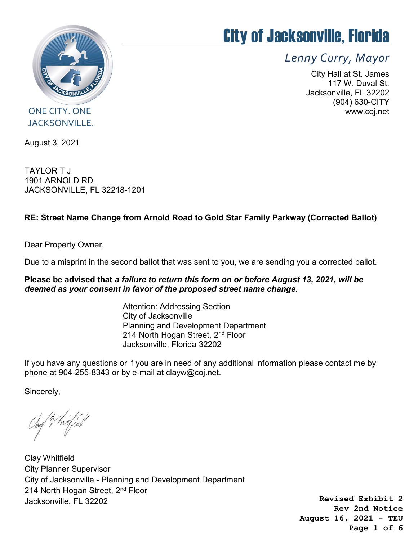

# City of Jacksonville, Florida

Lenny Curry, Mayor

City Hall at St. James 117 W. Duval St. Jacksonville, FL 32202 (904) 630-CITY www.coj.net

ONE CITY. ONE JACKSONVILLE.

August 3, 2021

TAYLOR T J 1901 ARNOLD RD JACKSONVILLE, FL 32218-1201

#### RE: Street Name Change from Arnold Road to Gold Star Family Parkway (Corrected Ballot)

Dear Property Owner,

Due to a misprint in the second ballot that was sent to you, we are sending you a corrected ballot.

#### Please be advised that a failure to return this form on or before August 13, 2021, will be deemed as your consent in favor of the proposed street name change.

Attention: Addressing Section City of Jacksonville Planning and Development Department 214 North Hogan Street, 2<sup>nd</sup> Floor Jacksonville, Florida 32202

If you have any questions or if you are in need of any additional information please contact me by phone at 904-255-8343 or by e-mail at clayw@coj.net.

Sincerely,

Clay Whitfield City Planner Supervisor City of Jacksonville - Planning and Development Department 214 North Hogan Street, 2<sup>nd</sup> Floor Jacksonville, FL 32202

**Revised Exhibit 2 Rev 2nd Notice August 16, 2021 - TEU Page 1 of 6**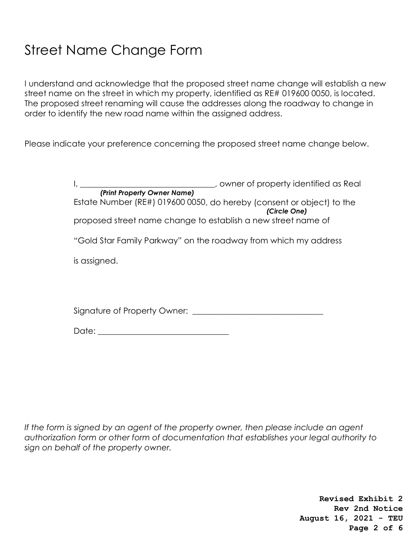## Street Name Change Form

I understand and acknowledge that the proposed street name change will establish a new street name on the street in which my property, identified as RE# 019600 0050, is located. The proposed street renaming will cause the addresses along the roadway to change in order to identify the new road name within the assigned address.

Please indicate your preference concerning the proposed street name change below.

| owner of property identified as Real                                                  |
|---------------------------------------------------------------------------------------|
| (Print Property Owner Name)                                                           |
| Estate Number (RE#) 019600 0050, do hereby (consent or object) to the<br>(Circle One) |
| proposed street name change to establish a new street name of                         |
| "Gold Star Family Parkway" on the roadway from which my address                       |
| is assigned.                                                                          |
|                                                                                       |
| Signature of Property Owner:                                                          |

Date: \_\_\_\_\_\_\_\_\_\_\_\_\_\_\_\_\_\_\_\_\_\_\_\_\_\_\_\_\_\_\_\_

If the form is signed by an agent of the property owner, then please include an agent authorization form or other form of documentation that establishes your legal authority to sign on behalf of the property owner.

> **Revised Exhibit 2 Rev 2nd Notice August 16, 2021 - TEU Page 2 of 6**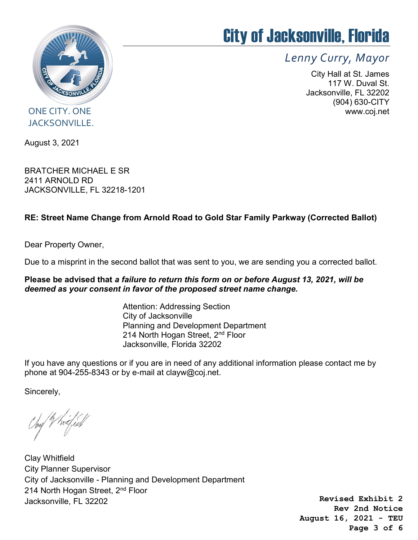

# City of Jacksonville, Florida

Lenny Curry, Mayor

City Hall at St. James 117 W. Duval St. Jacksonville, FL 32202 (904) 630-CITY www.coj.net

### ONE CITY. ONE JACKSONVILLE.

August 3, 2021

BRATCHER MICHAEL E SR 2411 ARNOLD RD JACKSONVILLE, FL 32218-1201

#### RE: Street Name Change from Arnold Road to Gold Star Family Parkway (Corrected Ballot)

Dear Property Owner,

Due to a misprint in the second ballot that was sent to you, we are sending you a corrected ballot.

#### Please be advised that a failure to return this form on or before August 13, 2021, will be deemed as your consent in favor of the proposed street name change.

Attention: Addressing Section City of Jacksonville Planning and Development Department 214 North Hogan Street, 2<sup>nd</sup> Floor Jacksonville, Florida 32202

If you have any questions or if you are in need of any additional information please contact me by phone at 904-255-8343 or by e-mail at clayw@coj.net.

Sincerely,

Clay Whitfield City Planner Supervisor City of Jacksonville - Planning and Development Department 214 North Hogan Street, 2<sup>nd</sup> Floor Jacksonville, FL 32202

**Revised Exhibit 2 Rev 2nd Notice August 16, 2021 - TEU Page 3 of 6**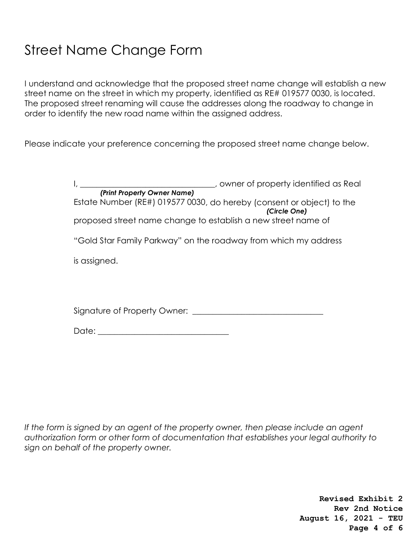## Street Name Change Form

I understand and acknowledge that the proposed street name change will establish a new street name on the street in which my property, identified as RE# 019577 0030, is located. The proposed street renaming will cause the addresses along the roadway to change in order to identify the new road name within the assigned address.

Please indicate your preference concerning the proposed street name change below.

| owner of property identified as Real                                                  |
|---------------------------------------------------------------------------------------|
| (Print Property Owner Name)                                                           |
| Estate Number (RE#) 019577 0030, do hereby (consent or object) to the<br>(Circle One) |
| proposed street name change to establish a new street name of                         |
| "Gold Star Family Parkway" on the roadway from which my address                       |
| is assigned.                                                                          |
|                                                                                       |
| Signature of Property Owner:                                                          |

Date: \_\_\_\_\_\_\_\_\_\_\_\_\_\_\_\_\_\_\_\_\_\_\_\_\_\_\_\_\_\_\_\_

If the form is signed by an agent of the property owner, then please include an agent authorization form or other form of documentation that establishes your legal authority to sign on behalf of the property owner.

> **Revised Exhibit 2 Rev 2nd Notice August 16, 2021 - TEU Page 4 of 6**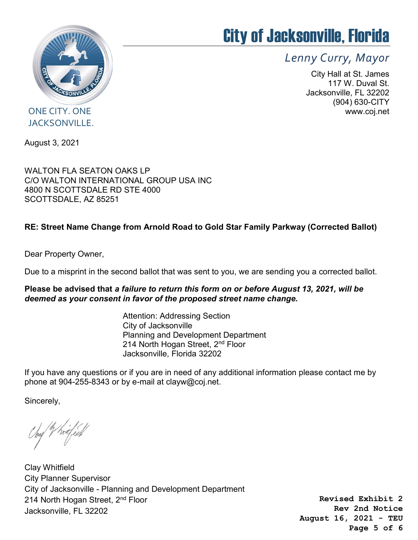

# City of Jacksonville, Florida

Lenny Curry, Mayor

City Hall at St. James 117 W. Duval St. Jacksonville, FL 32202 (904) 630-CITY www.coj.net

### ONE CITY. ONE JACKSONVILLE.

August 3, 2021

WALTON FLA SEATON OAKS LP C/O WALTON INTERNATIONAL GROUP USA INC 4800 N SCOTTSDALE RD STE 4000 SCOTTSDALE, AZ 85251

#### RE: Street Name Change from Arnold Road to Gold Star Family Parkway (Corrected Ballot)

Dear Property Owner,

Due to a misprint in the second ballot that was sent to you, we are sending you a corrected ballot.

Please be advised that a failure to return this form on or before August 13, 2021, will be deemed as your consent in favor of the proposed street name change.

> Attention: Addressing Section City of Jacksonville Planning and Development Department 214 North Hogan Street, 2<sup>nd</sup> Floor Jacksonville, Florida 32202

If you have any questions or if you are in need of any additional information please contact me by phone at 904-255-8343 or by e-mail at clayw@coj.net.

Sincerely,

hay V hrifesh

Clay Whitfield City Planner Supervisor City of Jacksonville - Planning and Development Department 214 North Hogan Street, 2<sup>nd</sup> Floor Jacksonville, FL 32202

**Revised Exhibit 2 Rev 2nd Notice August 16, 2021 - TEU Page 5 of 6**